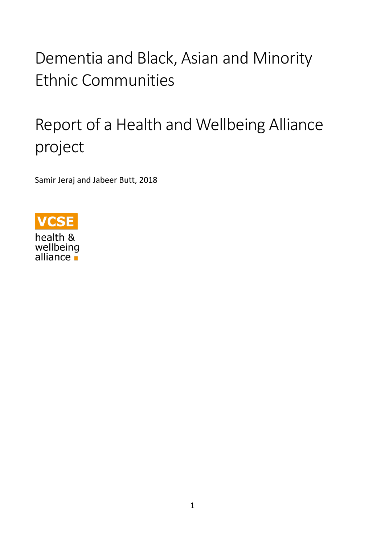# Dementia and Black, Asian and Minority Ethnic Communities

## Report of a Health and Wellbeing Alliance project

Samir Jeraj and Jabeer Butt, 2018



health & wellbeing<br>alliance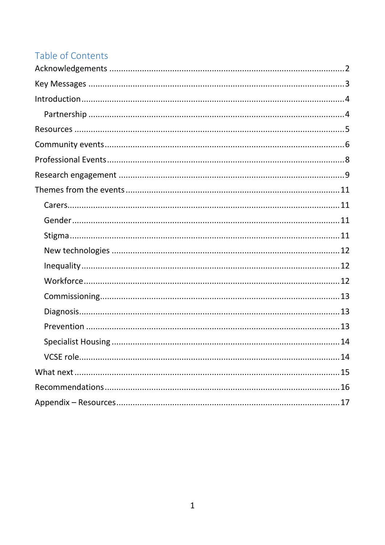## Table of Contents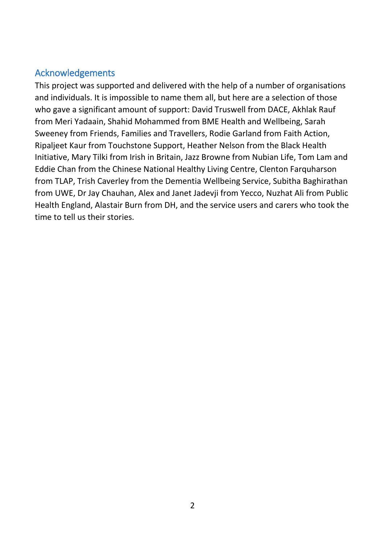## <span id="page-2-0"></span>Acknowledgements

<span id="page-2-1"></span>This project was supported and delivered with the help of a number of organisations and individuals. It is impossible to name them all, but here are a selection of those who gave a significant amount of support: David Truswell from DACE, Akhlak Rauf from Meri Yadaain, Shahid Mohammed from BME Health and Wellbeing, Sarah Sweeney from Friends, Families and Travellers, Rodie Garland from Faith Action, Ripaljeet Kaur from Touchstone Support, Heather Nelson from the Black Health Initiative, Mary Tilki from Irish in Britain, Jazz Browne from Nubian Life, Tom Lam and Eddie Chan from the Chinese National Healthy Living Centre, Clenton Farquharson from TLAP, Trish Caverley from the Dementia Wellbeing Service, Subitha Baghirathan from UWE, Dr Jay Chauhan, Alex and Janet Jadevji from Yecco, Nuzhat Ali from Public Health England, Alastair Burn from DH, and the service users and carers who took the time to tell us their stories.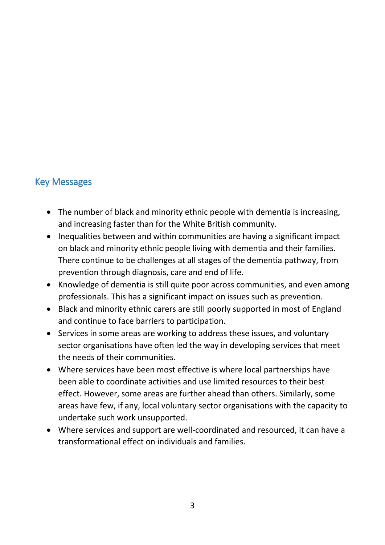## Key Messages

- The number of black and minority ethnic people with dementia is increasing, and increasing faster than for the White British community.
- Inequalities between and within communities are having a significant impact on black and minority ethnic people living with dementia and their families. There continue to be challenges at all stages of the dementia pathway, from prevention through diagnosis, care and end of life.
- Knowledge of dementia is still quite poor across communities, and even among professionals. This has a significant impact on issues such as prevention.
- Black and minority ethnic carers are still poorly supported in most of England and continue to face barriers to participation.
- Services in some areas are working to address these issues, and voluntary sector organisations have often led the way in developing services that meet the needs of their communities.
- Where services have been most effective is where local partnerships have been able to coordinate activities and use limited resources to their best effect. However, some areas are further ahead than others. Similarly, some areas have few, if any, local voluntary sector organisations with the capacity to undertake such work unsupported.
- Where services and support are well-coordinated and resourced, it can have a transformational effect on individuals and families.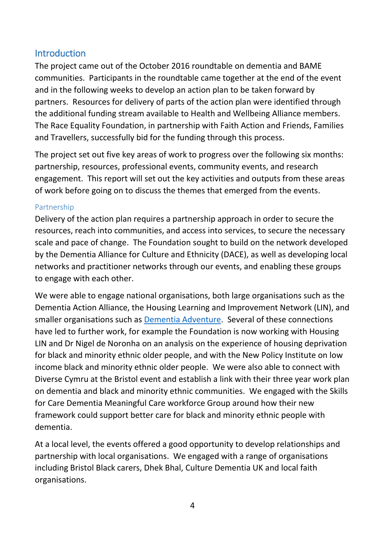## <span id="page-4-0"></span>**Introduction**

The project came out of the October 2016 roundtable on dementia and BAME communities. Participants in the roundtable came together at the end of the event and in the following weeks to develop an action plan to be taken forward by partners. Resources for delivery of parts of the action plan were identified through the additional funding stream available to Health and Wellbeing Alliance members. The Race Equality Foundation, in partnership with Faith Action and Friends, Families and Travellers, successfully bid for the funding through this process.

The project set out five key areas of work to progress over the following six months: partnership, resources, professional events, community events, and research engagement. This report will set out the key activities and outputs from these areas of work before going on to discuss the themes that emerged from the events.

#### <span id="page-4-1"></span>Partnership

Delivery of the action plan requires a partnership approach in order to secure the resources, reach into communities, and access into services, to secure the necessary scale and pace of change. The Foundation sought to build on the network developed by the Dementia Alliance for Culture and Ethnicity (DACE), as well as developing local networks and practitioner networks through our events, and enabling these groups to engage with each other.

We were able to engage national organisations, both large organisations such as the Dementia Action Alliance, the Housing Learning and Improvement Network (LIN), and smaller organisations such as [Dementia Adventure.](https://dementiaadventure.co.uk/) Several of these connections have led to further work, for example the Foundation is now working with Housing LIN and Dr Nigel de Noronha on an analysis on the experience of housing deprivation for black and minority ethnic older people, and with the New Policy Institute on low income black and minority ethnic older people. We were also able to connect with Diverse Cymru at the Bristol event and establish a link with their three year work plan on dementia and black and minority ethnic communities. We engaged with the Skills for Care Dementia Meaningful Care workforce Group around how their new framework could support better care for black and minority ethnic people with dementia.

At a local level, the events offered a good opportunity to develop relationships and partnership with local organisations. We engaged with a range of organisations including Bristol Black carers, Dhek Bhal, Culture Dementia UK and local faith organisations.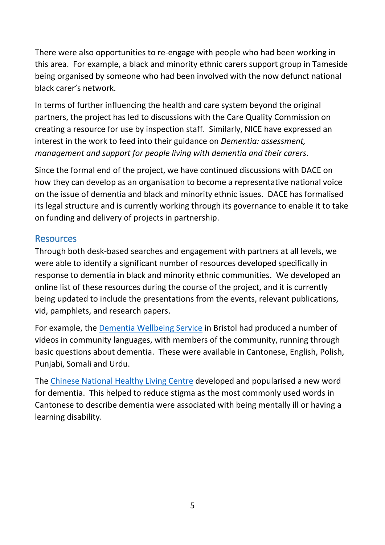There were also opportunities to re-engage with people who had been working in this area. For example, a black and minority ethnic carers support group in Tameside being organised by someone who had been involved with the now defunct national black carer's network.

In terms of further influencing the health and care system beyond the original partners, the project has led to discussions with the Care Quality Commission on creating a resource for use by inspection staff. Similarly, NICE have expressed an interest in the work to feed into their guidance on *Dementia: assessment, management and support for people living with dementia and their carers*.

Since the formal end of the project, we have continued discussions with DACE on how they can develop as an organisation to become a representative national voice on the issue of dementia and black and minority ethnic issues. DACE has formalised its legal structure and is currently working through its governance to enable it to take on funding and delivery of projects in partnership.

## <span id="page-5-0"></span>**Resources**

Through both desk-based searches and engagement with partners at all levels, we were able to identify a significant number of resources developed specifically in response to dementia in black and minority ethnic communities. We developed an online list of these resources during the course of the project, and it is currently being updated to include the presentations from the events, relevant publications, vid, pamphlets, and research papers.

For example, the [Dementia Wellbeing Service](http://www.bristoldementiawellbeing.org/) in Bristol had produced a number of videos in community languages, with members of the community, running through basic questions about dementia. These were available in Cantonese, English, Polish, Punjabi, Somali and Urdu.

The [Chinese National Healthy Living Centre](http://www.cnhlc.org.uk/english/projects/dementia-and-alzheimer-awareness/) developed and popularised a new word for dementia. This helped to reduce stigma as the most commonly used words in Cantonese to describe dementia were associated with being mentally ill or having a learning disability.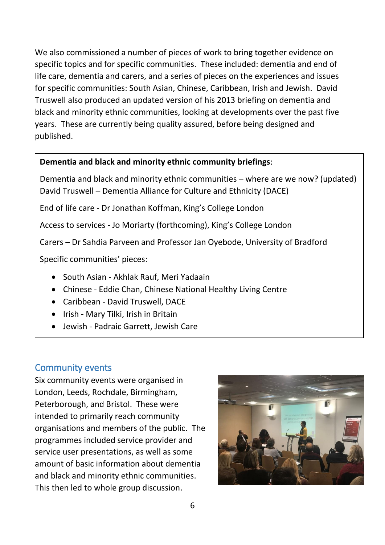We also commissioned a number of pieces of work to bring together evidence on specific topics and for specific communities. These included: dementia and end of life care, dementia and carers, and a series of pieces on the experiences and issues for specific communities: South Asian, Chinese, Caribbean, Irish and Jewish. David Truswell also produced an updated version of his 2013 briefing on dementia and black and minority ethnic communities, looking at developments over the past five years. These are currently being quality assured, before being designed and published.

### **Dementia and black and minority ethnic community briefings**:

Dementia and black and minority ethnic communities – where are we now? (updated) David Truswell – Dementia Alliance for Culture and Ethnicity (DACE)

End of life care - Dr Jonathan Koffman, King's College London

Access to services - Jo Moriarty (forthcoming), King's College London

Carers – Dr Sahdia Parveen and Professor Jan Oyebode, University of Bradford

Specific communities' pieces:

- South Asian Akhlak Rauf, Meri Yadaain
- Chinese Eddie Chan, Chinese National Healthy Living Centre
- Caribbean David Truswell, DACE
- Irish Mary Tilki, Irish in Britain
- Jewish Padraic Garrett, Jewish Care

## <span id="page-6-0"></span>Community events

Six community events were organised in London, Leeds, Rochdale, Birmingham, Peterborough, and Bristol. These were intended to primarily reach community organisations and members of the public. The programmes included service provider and service user presentations, as well as some amount of basic information about dementia and black and minority ethnic communities. This then led to whole group discussion.

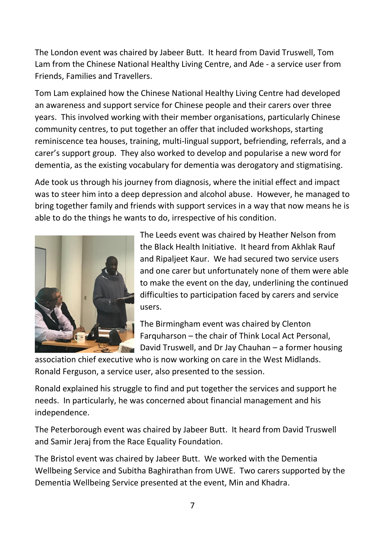The London event was chaired by Jabeer Butt. It heard from David Truswell, Tom Lam from the Chinese National Healthy Living Centre, and Ade - a service user from Friends, Families and Travellers.

Tom Lam explained how the Chinese National Healthy Living Centre had developed an awareness and support service for Chinese people and their carers over three years. This involved working with their member organisations, particularly Chinese community centres, to put together an offer that included workshops, starting reminiscence tea houses, training, multi-lingual support, befriending, referrals, and a carer's support group. They also worked to develop and popularise a new word for dementia, as the existing vocabulary for dementia was derogatory and stigmatising.

Ade took us through his journey from diagnosis, where the initial effect and impact was to steer him into a deep depression and alcohol abuse. However, he managed to bring together family and friends with support services in a way that now means he is able to do the things he wants to do, irrespective of his condition.



The Leeds event was chaired by Heather Nelson from the Black Health Initiative. It heard from Akhlak Rauf and Ripaljeet Kaur. We had secured two service users and one carer but unfortunately none of them were able to make the event on the day, underlining the continued difficulties to participation faced by carers and service users.

The Birmingham event was chaired by Clenton Farquharson – the chair of Think Local Act Personal, **David Truswell, and Dr Jay Chauhan – a former housing** 

association chief executive who is now working on care in the West Midlands. Ronald Ferguson, a service user, also presented to the session.

Ronald explained his struggle to find and put together the services and support he needs. In particularly, he was concerned about financial management and his independence.

The Peterborough event was chaired by Jabeer Butt. It heard from David Truswell and Samir Jeraj from the Race Equality Foundation.

The Bristol event was chaired by Jabeer Butt. We worked with the Dementia Wellbeing Service and Subitha Baghirathan from UWE. Two carers supported by the Dementia Wellbeing Service presented at the event, Min and Khadra.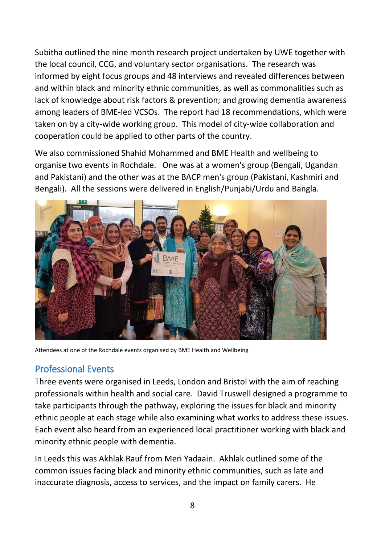Subitha outlined the nine month research project undertaken by UWE together with the local council, CCG, and voluntary sector organisations. The research was informed by eight focus groups and 48 interviews and revealed differences between and within black and minority ethnic communities, as well as commonalities such as lack of knowledge about risk factors & prevention; and growing dementia awareness among leaders of BME-led VCSOs. The report had 18 recommendations, which were taken on by a city-wide working group. This model of city-wide collaboration and cooperation could be applied to other parts of the country.

We also commissioned Shahid Mohammed and BME Health and wellbeing to organise two events in Rochdale. One was at a women's group (Bengali, Ugandan and Pakistani) and the other was at the BACP men's group (Pakistani, Kashmiri and Bengali). All the sessions were delivered in English/Punjabi/Urdu and Bangla.



Attendees at one of the Rochdale events organised by BME Health and Wellbeing

## <span id="page-8-0"></span>Professional Events

Three events were organised in Leeds, London and Bristol with the aim of reaching professionals within health and social care. David Truswell designed a programme to take participants through the pathway, exploring the issues for black and minority ethnic people at each stage while also examining what works to address these issues. Each event also heard from an experienced local practitioner working with black and minority ethnic people with dementia.

In Leeds this was Akhlak Rauf from Meri Yadaain. Akhlak outlined some of the common issues facing black and minority ethnic communities, such as late and inaccurate diagnosis, access to services, and the impact on family carers. He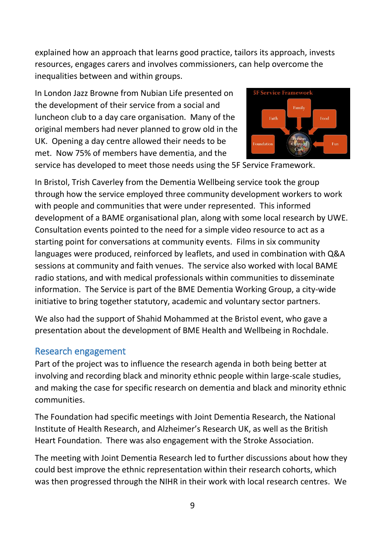explained how an approach that learns good practice, tailors its approach, invests resources, engages carers and involves commissioners, can help overcome the inequalities between and within groups.

In London Jazz Browne from Nubian Life presented on the development of their service from a social and luncheon club to a day care organisation. Many of the original members had never planned to grow old in the UK. Opening a day centre allowed their needs to be met. Now 75% of members have dementia, and the



service has developed to meet those needs using the 5F Service Framework.

In Bristol, Trish Caverley from the Dementia Wellbeing service took the group through how the service employed three community development workers to work with people and communities that were under represented. This informed development of a BAME organisational plan, along with some local research by UWE. Consultation events pointed to the need for a simple video resource to act as a starting point for conversations at community events. Films in six community languages were produced, reinforced by leaflets, and used in combination with Q&A sessions at community and faith venues. The service also worked with local BAME radio stations, and with medical professionals within communities to disseminate information. The Service is part of the BME Dementia Working Group, a city-wide initiative to bring together statutory, academic and voluntary sector partners.

We also had the support of Shahid Mohammed at the Bristol event, who gave a presentation about the development of BME Health and Wellbeing in Rochdale.

#### <span id="page-9-0"></span>Research engagement

Part of the project was to influence the research agenda in both being better at involving and recording black and minority ethnic people within large-scale studies, and making the case for specific research on dementia and black and minority ethnic communities.

The Foundation had specific meetings with Joint Dementia Research, the National Institute of Health Research, and Alzheimer's Research UK, as well as the British Heart Foundation. There was also engagement with the Stroke Association.

The meeting with Joint Dementia Research led to further discussions about how they could best improve the ethnic representation within their research cohorts, which was then progressed through the NIHR in their work with local research centres. We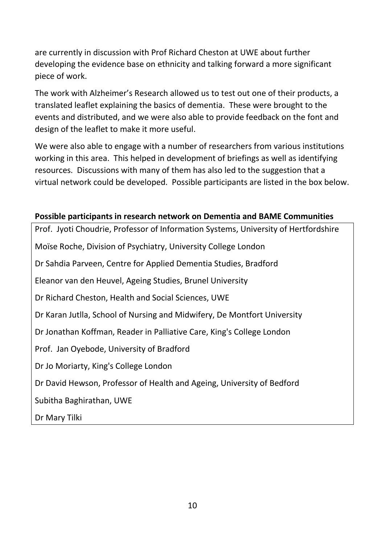are currently in discussion with Prof Richard Cheston at UWE about further developing the evidence base on ethnicity and talking forward a more significant piece of work.

The work with Alzheimer's Research allowed us to test out one of their products, a translated leaflet explaining the basics of dementia. These were brought to the events and distributed, and we were also able to provide feedback on the font and design of the leaflet to make it more useful.

We were also able to engage with a number of researchers from various institutions working in this area. This helped in development of briefings as well as identifying resources. Discussions with many of them has also led to the suggestion that a virtual network could be developed. Possible participants are listed in the box below.

#### **Possible participants in research network on Dementia and BAME Communities**

Prof. Jyoti Choudrie, Professor of Information Systems, University of Hertfordshire Moïse Roche, Division of Psychiatry, University College London Dr Sahdia Parveen, Centre for Applied Dementia Studies, Bradford Eleanor van den Heuvel, Ageing Studies, Brunel University Dr Richard Cheston, Health and Social Sciences, UWE Dr Karan Jutlla, School of Nursing and Midwifery, De Montfort University Dr Jonathan Koffman, Reader in Palliative Care, King's College London Prof. Jan Oyebode, University of Bradford Dr Jo Moriarty, King's College London Dr David Hewson, Professor of Health and Ageing, University of Bedford Subitha Baghirathan, UWE Dr Mary Tilki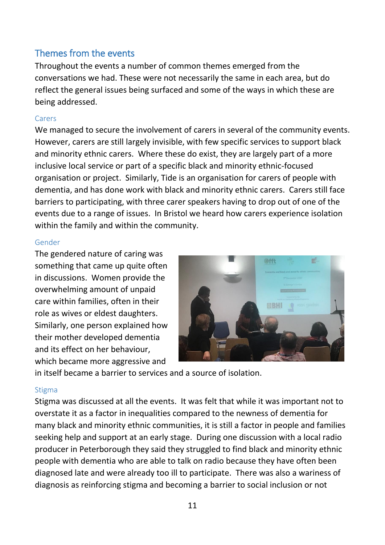## <span id="page-11-0"></span>Themes from the events

Throughout the events a number of common themes emerged from the conversations we had. These were not necessarily the same in each area, but do reflect the general issues being surfaced and some of the ways in which these are being addressed.

#### <span id="page-11-1"></span>Carers

We managed to secure the involvement of carers in several of the community events. However, carers are still largely invisible, with few specific services to support black and minority ethnic carers. Where these do exist, they are largely part of a more inclusive local service or part of a specific black and minority ethnic-focused organisation or project. Similarly, Tide is an organisation for carers of people with dementia, and has done work with black and minority ethnic carers. Carers still face barriers to participating, with three carer speakers having to drop out of one of the events due to a range of issues. In Bristol we heard how carers experience isolation within the family and within the community.

#### <span id="page-11-2"></span>Gender

The gendered nature of caring was something that came up quite often in discussions. Women provide the overwhelming amount of unpaid care within families, often in their role as wives or eldest daughters. Similarly, one person explained how their mother developed dementia and its effect on her behaviour, which became more aggressive and



in itself became a barrier to services and a source of isolation.

#### <span id="page-11-3"></span>**Stigma**

Stigma was discussed at all the events. It was felt that while it was important not to overstate it as a factor in inequalities compared to the newness of dementia for many black and minority ethnic communities, it is still a factor in people and families seeking help and support at an early stage. During one discussion with a local radio producer in Peterborough they said they struggled to find black and minority ethnic people with dementia who are able to talk on radio because they have often been diagnosed late and were already too ill to participate. There was also a wariness of diagnosis as reinforcing stigma and becoming a barrier to social inclusion or not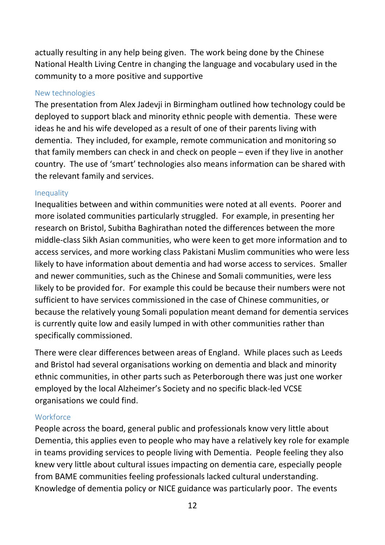actually resulting in any help being given. The work being done by the Chinese National Health Living Centre in changing the language and vocabulary used in the community to a more positive and supportive

#### <span id="page-12-0"></span>New technologies

The presentation from Alex Jadevji in Birmingham outlined how technology could be deployed to support black and minority ethnic people with dementia. These were ideas he and his wife developed as a result of one of their parents living with dementia. They included, for example, remote communication and monitoring so that family members can check in and check on people – even if they live in another country. The use of 'smart' technologies also means information can be shared with the relevant family and services.

#### <span id="page-12-1"></span>Inequality

Inequalities between and within communities were noted at all events. Poorer and more isolated communities particularly struggled. For example, in presenting her research on Bristol, Subitha Baghirathan noted the differences between the more middle-class Sikh Asian communities, who were keen to get more information and to access services, and more working class Pakistani Muslim communities who were less likely to have information about dementia and had worse access to services. Smaller and newer communities, such as the Chinese and Somali communities, were less likely to be provided for. For example this could be because their numbers were not sufficient to have services commissioned in the case of Chinese communities, or because the relatively young Somali population meant demand for dementia services is currently quite low and easily lumped in with other communities rather than specifically commissioned.

There were clear differences between areas of England. While places such as Leeds and Bristol had several organisations working on dementia and black and minority ethnic communities, in other parts such as Peterborough there was just one worker employed by the local Alzheimer's Society and no specific black-led VCSE organisations we could find.

#### <span id="page-12-2"></span>**Workforce**

People across the board, general public and professionals know very little about Dementia, this applies even to people who may have a relatively key role for example in teams providing services to people living with Dementia. People feeling they also knew very little about cultural issues impacting on dementia care, especially people from BAME communities feeling professionals lacked cultural understanding. Knowledge of dementia policy or NICE guidance was particularly poor. The events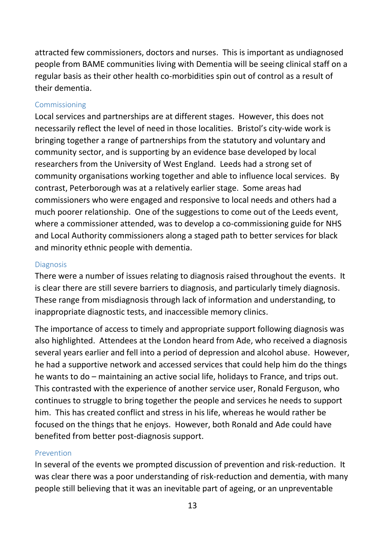attracted few commissioners, doctors and nurses. This is important as undiagnosed people from BAME communities living with Dementia will be seeing clinical staff on a regular basis as their other health co-morbidities spin out of control as a result of their dementia.

#### <span id="page-13-0"></span>Commissioning

Local services and partnerships are at different stages. However, this does not necessarily reflect the level of need in those localities. Bristol's city-wide work is bringing together a range of partnerships from the statutory and voluntary and community sector, and is supporting by an evidence base developed by local researchers from the University of West England. Leeds had a strong set of community organisations working together and able to influence local services. By contrast, Peterborough was at a relatively earlier stage. Some areas had commissioners who were engaged and responsive to local needs and others had a much poorer relationship. One of the suggestions to come out of the Leeds event, where a commissioner attended, was to develop a co-commissioning guide for NHS and Local Authority commissioners along a staged path to better services for black and minority ethnic people with dementia.

#### <span id="page-13-1"></span>**Diagnosis**

There were a number of issues relating to diagnosis raised throughout the events. It is clear there are still severe barriers to diagnosis, and particularly timely diagnosis. These range from misdiagnosis through lack of information and understanding, to inappropriate diagnostic tests, and inaccessible memory clinics.

The importance of access to timely and appropriate support following diagnosis was also highlighted. Attendees at the London heard from Ade, who received a diagnosis several years earlier and fell into a period of depression and alcohol abuse. However, he had a supportive network and accessed services that could help him do the things he wants to do – maintaining an active social life, holidays to France, and trips out. This contrasted with the experience of another service user, Ronald Ferguson, who continues to struggle to bring together the people and services he needs to support him. This has created conflict and stress in his life, whereas he would rather be focused on the things that he enjoys. However, both Ronald and Ade could have benefited from better post-diagnosis support.

#### <span id="page-13-2"></span>Prevention

In several of the events we prompted discussion of prevention and risk-reduction. It was clear there was a poor understanding of risk-reduction and dementia, with many people still believing that it was an inevitable part of ageing, or an unpreventable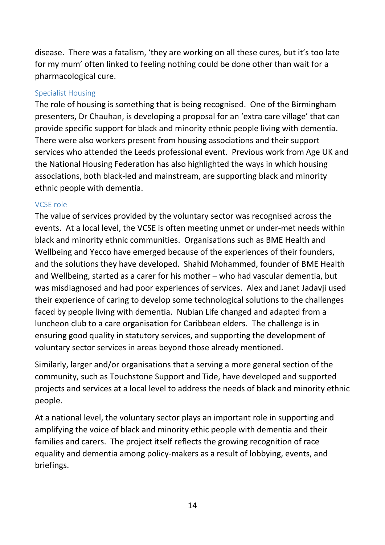disease. There was a fatalism, 'they are working on all these cures, but it's too late for my mum' often linked to feeling nothing could be done other than wait for a pharmacological cure.

#### <span id="page-14-0"></span>Specialist Housing

The role of housing is something that is being recognised. One of the Birmingham presenters, Dr Chauhan, is developing a proposal for an 'extra care village' that can provide specific support for black and minority ethnic people living with dementia. There were also workers present from housing associations and their support services who attended the Leeds professional event. Previous work from Age UK and the National Housing Federation has also highlighted the ways in which housing associations, both black-led and mainstream, are supporting black and minority ethnic people with dementia.

#### <span id="page-14-1"></span>VCSE role

The value of services provided by the voluntary sector was recognised across the events. At a local level, the VCSE is often meeting unmet or under-met needs within black and minority ethnic communities. Organisations such as BME Health and Wellbeing and Yecco have emerged because of the experiences of their founders, and the solutions they have developed. Shahid Mohammed, founder of BME Health and Wellbeing, started as a carer for his mother – who had vascular dementia, but was misdiagnosed and had poor experiences of services. Alex and Janet Jadavji used their experience of caring to develop some technological solutions to the challenges faced by people living with dementia. Nubian Life changed and adapted from a luncheon club to a care organisation for Caribbean elders. The challenge is in ensuring good quality in statutory services, and supporting the development of voluntary sector services in areas beyond those already mentioned.

Similarly, larger and/or organisations that a serving a more general section of the community, such as Touchstone Support and Tide, have developed and supported projects and services at a local level to address the needs of black and minority ethnic people.

At a national level, the voluntary sector plays an important role in supporting and amplifying the voice of black and minority ethic people with dementia and their families and carers. The project itself reflects the growing recognition of race equality and dementia among policy-makers as a result of lobbying, events, and briefings.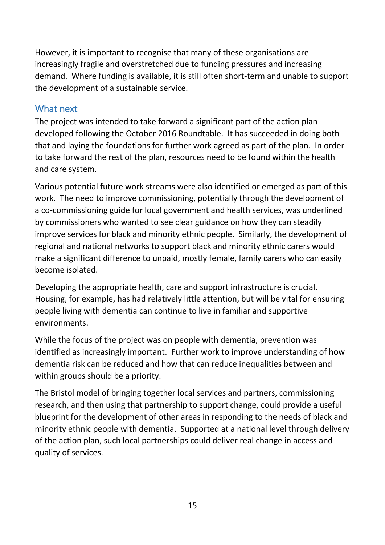However, it is important to recognise that many of these organisations are increasingly fragile and overstretched due to funding pressures and increasing demand. Where funding is available, it is still often short-term and unable to support the development of a sustainable service.

## <span id="page-15-0"></span>What next

The project was intended to take forward a significant part of the action plan developed following the October 2016 Roundtable. It has succeeded in doing both that and laying the foundations for further work agreed as part of the plan. In order to take forward the rest of the plan, resources need to be found within the health and care system.

Various potential future work streams were also identified or emerged as part of this work. The need to improve commissioning, potentially through the development of a co-commissioning guide for local government and health services, was underlined by commissioners who wanted to see clear guidance on how they can steadily improve services for black and minority ethnic people. Similarly, the development of regional and national networks to support black and minority ethnic carers would make a significant difference to unpaid, mostly female, family carers who can easily become isolated.

Developing the appropriate health, care and support infrastructure is crucial. Housing, for example, has had relatively little attention, but will be vital for ensuring people living with dementia can continue to live in familiar and supportive environments.

While the focus of the project was on people with dementia, prevention was identified as increasingly important. Further work to improve understanding of how dementia risk can be reduced and how that can reduce inequalities between and within groups should be a priority.

The Bristol model of bringing together local services and partners, commissioning research, and then using that partnership to support change, could provide a useful blueprint for the development of other areas in responding to the needs of black and minority ethnic people with dementia. Supported at a national level through delivery of the action plan, such local partnerships could deliver real change in access and quality of services.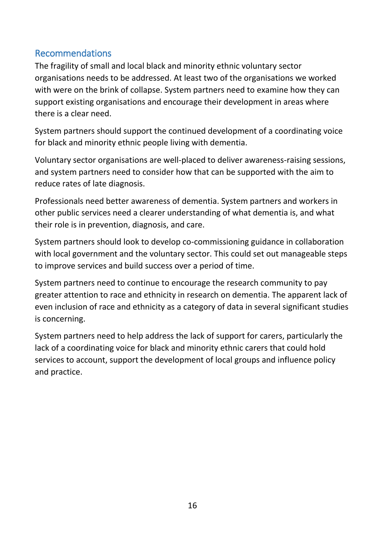## <span id="page-16-0"></span>Recommendations

The fragility of small and local black and minority ethnic voluntary sector organisations needs to be addressed. At least two of the organisations we worked with were on the brink of collapse. System partners need to examine how they can support existing organisations and encourage their development in areas where there is a clear need.

System partners should support the continued development of a coordinating voice for black and minority ethnic people living with dementia.

Voluntary sector organisations are well-placed to deliver awareness-raising sessions, and system partners need to consider how that can be supported with the aim to reduce rates of late diagnosis.

Professionals need better awareness of dementia. System partners and workers in other public services need a clearer understanding of what dementia is, and what their role is in prevention, diagnosis, and care.

System partners should look to develop co-commissioning guidance in collaboration with local government and the voluntary sector. This could set out manageable steps to improve services and build success over a period of time.

System partners need to continue to encourage the research community to pay greater attention to race and ethnicity in research on dementia. The apparent lack of even inclusion of race and ethnicity as a category of data in several significant studies is concerning.

System partners need to help address the lack of support for carers, particularly the lack of a coordinating voice for black and minority ethnic carers that could hold services to account, support the development of local groups and influence policy and practice.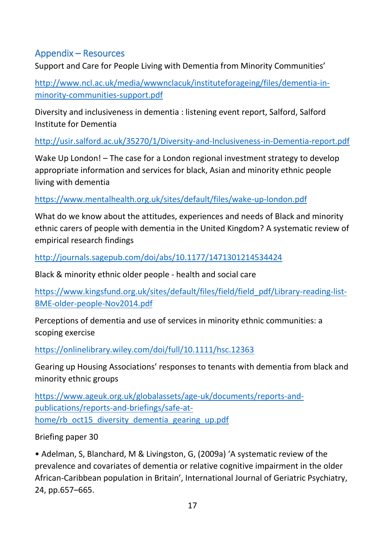## <span id="page-17-0"></span>Appendix – Resources

Support and Care for People Living with Dementia from Minority Communities'

[http://www.ncl.ac.uk/media/wwwnclacuk/instituteforageing/files/dementia-in](http://www.ncl.ac.uk/media/wwwnclacuk/instituteforageing/files/dementia-in-minority-communities-support.pdf)[minority-communities-support.pdf](http://www.ncl.ac.uk/media/wwwnclacuk/instituteforageing/files/dementia-in-minority-communities-support.pdf)

Diversity and inclusiveness in dementia : listening event report, Salford, Salford Institute for Dementia

<http://usir.salford.ac.uk/35270/1/Diversity-and-Inclusiveness-in-Dementia-report.pdf>

Wake Up London! – The case for a London regional investment strategy to develop appropriate information and services for black, Asian and minority ethnic people living with dementia

<https://www.mentalhealth.org.uk/sites/default/files/wake-up-london.pdf>

What do we know about the attitudes, experiences and needs of Black and minority ethnic carers of people with dementia in the United Kingdom? A systematic review of empirical research findings

<http://journals.sagepub.com/doi/abs/10.1177/1471301214534424>

Black & minority ethnic older people - health and social care

[https://www.kingsfund.org.uk/sites/default/files/field/field\\_pdf/Library-reading-list-](https://www.kingsfund.org.uk/sites/default/files/field/field_pdf/Library-reading-list-BME-older-people-Nov2014.pdf)[BME-older-people-Nov2014.pdf](https://www.kingsfund.org.uk/sites/default/files/field/field_pdf/Library-reading-list-BME-older-people-Nov2014.pdf)

Perceptions of dementia and use of services in minority ethnic communities: a scoping exercise

<https://onlinelibrary.wiley.com/doi/full/10.1111/hsc.12363>

Gearing up Housing Associations' responses to tenants with dementia from black and minority ethnic groups

[https://www.ageuk.org.uk/globalassets/age-uk/documents/reports-and](https://www.ageuk.org.uk/globalassets/age-uk/documents/reports-and-publications/reports-and-briefings/safe-at-home/rb_oct15_diversity_dementia_gearing_up.pdf)[publications/reports-and-briefings/safe-at](https://www.ageuk.org.uk/globalassets/age-uk/documents/reports-and-publications/reports-and-briefings/safe-at-home/rb_oct15_diversity_dementia_gearing_up.pdf)[home/rb\\_oct15\\_diversity\\_dementia\\_gearing\\_up.pdf](https://www.ageuk.org.uk/globalassets/age-uk/documents/reports-and-publications/reports-and-briefings/safe-at-home/rb_oct15_diversity_dementia_gearing_up.pdf)

Briefing paper 30

• Adelman, S, Blanchard, M & Livingston, G, (2009a) 'A systematic review of the prevalence and covariates of dementia or relative cognitive impairment in the older African-Caribbean population in Britain', International Journal of Geriatric Psychiatry, 24, pp.657–665.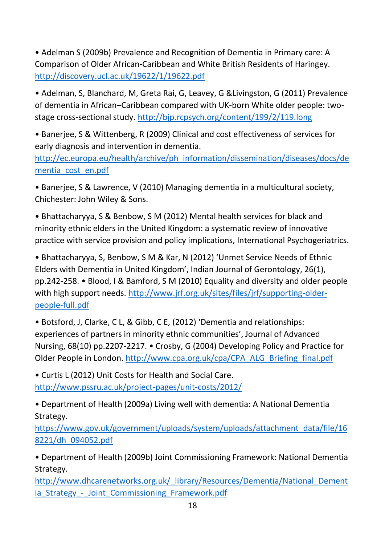• Adelman S (2009b) Prevalence and Recognition of Dementia in Primary care: A Comparison of Older African-Caribbean and White British Residents of Haringey. <http://discovery.ucl.ac.uk/19622/1/19622.pdf>

• Adelman, S, Blanchard, M, Greta Rai, G, Leavey, G &Livingston, G (2011) Prevalence of dementia in African–Caribbean compared with UK-born White older people: twostage cross-sectional study.<http://bjp.rcpsych.org/content/199/2/119.long>

• Banerjee, S & Wittenberg, R (2009) Clinical and cost effectiveness of services for early diagnosis and intervention in dementia.

[http://ec.europa.eu/health/archive/ph\\_information/dissemination/diseases/docs/de](http://ec.europa.eu/health/archive/ph_information/dissemination/diseases/docs/dementia_cost_en.pdf) [mentia\\_cost\\_en.pdf](http://ec.europa.eu/health/archive/ph_information/dissemination/diseases/docs/dementia_cost_en.pdf)

• Banerjee, S & Lawrence, V (2010) Managing dementia in a multicultural society, Chichester: John Wiley & Sons.

• Bhattacharyya, S & Benbow, S M (2012) Mental health services for black and minority ethnic elders in the United Kingdom: a systematic review of innovative practice with service provision and policy implications, International Psychogeriatrics.

• Bhattacharyya, S, Benbow, S M & Kar, N (2012) 'Unmet Service Needs of Ethnic Elders with Dementia in United Kingdom', Indian Journal of Gerontology, 26(1), pp.242-258. • Blood, I & Bamford, S M (2010) Equality and diversity and older people with high support needs. [http://www.jrf.org.uk/sites/files/jrf/supporting-older](http://www.jrf.org.uk/sites/files/jrf/supporting-older-people-full.pdf)[people-full.pdf](http://www.jrf.org.uk/sites/files/jrf/supporting-older-people-full.pdf)

• Botsford, J, Clarke, C L, & Gibb, C E, (2012) 'Dementia and relationships: experiences of partners in minority ethnic communities', Journal of Advanced Nursing, 68(10) pp.2207-2217. • Crosby, G (2004) Developing Policy and Practice for Older People in London. [http://www.cpa.org.uk/cpa/CPA\\_ALG\\_Briefing\\_final.pdf](http://www.cpa.org.uk/cpa/CPA_ALG_Briefing_final.pdf)

• Curtis L (2012) Unit Costs for Health and Social Care. <http://www.pssru.ac.uk/project-pages/unit-costs/2012/>

• Department of Health (2009a) Living well with dementia: A National Dementia Strategy.

[https://www.gov.uk/government/uploads/system/uploads/attachment\\_data/file/16](https://www.gov.uk/government/uploads/system/uploads/attachment_data/file/168221/dh_094052.pdf) [8221/dh\\_094052.pdf](https://www.gov.uk/government/uploads/system/uploads/attachment_data/file/168221/dh_094052.pdf)

• Department of Health (2009b) Joint Commissioning Framework: National Dementia Strategy.

http://www.dhcarenetworks.org.uk/ library/Resources/Dementia/National Dement ia Strategy - Joint Commissioning Framework.pdf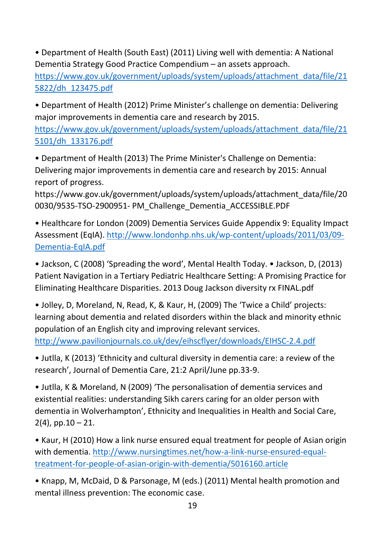• Department of Health (South East) (2011) Living well with dementia: A National Dementia Strategy Good Practice Compendium – an assets approach.

[https://www.gov.uk/government/uploads/system/uploads/attachment\\_data/file/21](https://www.gov.uk/government/uploads/system/uploads/attachment_data/file/215822/dh_123475.pdf) [5822/dh\\_123475.pdf](https://www.gov.uk/government/uploads/system/uploads/attachment_data/file/215822/dh_123475.pdf)

• Department of Health (2012) Prime Minister's challenge on dementia: Delivering major improvements in dementia care and research by 2015.

[https://www.gov.uk/government/uploads/system/uploads/attachment\\_data/file/21](https://www.gov.uk/government/uploads/system/uploads/attachment_data/file/215101/dh_133176.pdf) [5101/dh\\_133176.pdf](https://www.gov.uk/government/uploads/system/uploads/attachment_data/file/215101/dh_133176.pdf)

• Department of Health (2013) The Prime Minister's Challenge on Dementia: Delivering major improvements in dementia care and research by 2015: Annual report of progress.

https://www.gov.uk/government/uploads/system/uploads/attachment\_data/file/20 0030/9535-TSO-2900951- PM\_Challenge\_Dementia\_ACCESSIBLE.PDF

• Healthcare for London (2009) Dementia Services Guide Appendix 9: Equality Impact Assessment (EqIA). [http://www.londonhp.nhs.uk/wp-content/uploads/2011/03/09-](http://www.londonhp.nhs.uk/wp-content/uploads/2011/03/09-Dementia-EqIA.pdf) [Dementia-EqIA.pdf](http://www.londonhp.nhs.uk/wp-content/uploads/2011/03/09-Dementia-EqIA.pdf)

• Jackson, C (2008) 'Spreading the word', Mental Health Today. • Jackson, D, (2013) Patient Navigation in a Tertiary Pediatric Healthcare Setting: A Promising Practice for Eliminating Healthcare Disparities. 2013 Doug Jackson diversity rx FINAL.pdf

• Jolley, D, Moreland, N, Read, K, & Kaur, H, (2009) The 'Twice a Child' projects: learning about dementia and related disorders within the black and minority ethnic population of an English city and improving relevant services. <http://www.pavilionjournals.co.uk/dev/eihscflyer/downloads/EIHSC-2.4.pdf>

• Jutlla, K (2013) 'Ethnicity and cultural diversity in dementia care: a review of the research', Journal of Dementia Care, 21:2 April/June pp.33-9.

• Jutlla, K & Moreland, N (2009) 'The personalisation of dementia services and existential realities: understanding Sikh carers caring for an older person with dementia in Wolverhampton', Ethnicity and Inequalities in Health and Social Care,  $2(4)$ , pp.10 – 21.

• Kaur, H (2010) How a link nurse ensured equal treatment for people of Asian origin with dementia. [http://www.nursingtimes.net/how-a-link-nurse-ensured-equal](http://www.nursingtimes.net/how-a-link-nurse-ensured-equal-treatment-for-people-of-asian-origin-with-dementia/5016160.article)[treatment-for-people-of-asian-origin-with-dementia/5016160.article](http://www.nursingtimes.net/how-a-link-nurse-ensured-equal-treatment-for-people-of-asian-origin-with-dementia/5016160.article)

• Knapp, M, McDaid, D & Parsonage, M (eds.) (2011) Mental health promotion and mental illness prevention: The economic case.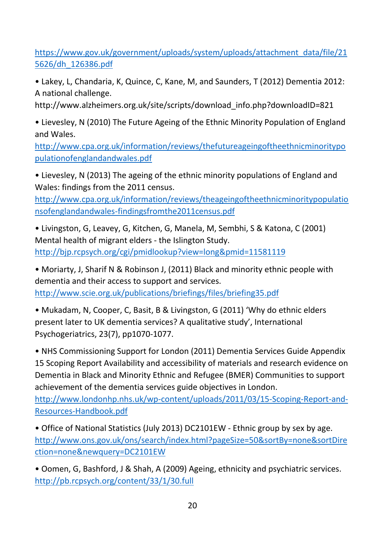[https://www.gov.uk/government/uploads/system/uploads/attachment\\_data/file/21](https://www.gov.uk/government/uploads/system/uploads/attachment_data/file/215626/dh_126386.pdf) [5626/dh\\_126386.pdf](https://www.gov.uk/government/uploads/system/uploads/attachment_data/file/215626/dh_126386.pdf)

• Lakey, L, Chandaria, K, Quince, C, Kane, M, and Saunders, T (2012) Dementia 2012: A national challenge.

http://www.alzheimers.org.uk/site/scripts/download\_info.php?downloadID=821

• Lievesley, N (2010) The Future Ageing of the Ethnic Minority Population of England and Wales.

[http://www.cpa.org.uk/information/reviews/thefutureageingoftheethnicminoritypo](http://www.cpa.org.uk/information/reviews/thefutureageingoftheethnicminoritypopulationofenglandandwales.pdf) [pulationofenglandandwales.pdf](http://www.cpa.org.uk/information/reviews/thefutureageingoftheethnicminoritypopulationofenglandandwales.pdf)

• Lievesley, N (2013) The ageing of the ethnic minority populations of England and Wales: findings from the 2011 census.

[http://www.cpa.org.uk/information/reviews/theageingoftheethnicminoritypopulatio](http://www.cpa.org.uk/information/reviews/theageingoftheethnicminoritypopulationsofenglandandwales-findingsfromthe2011census.pdf) [nsofenglandandwales-findingsfromthe2011census.pdf](http://www.cpa.org.uk/information/reviews/theageingoftheethnicminoritypopulationsofenglandandwales-findingsfromthe2011census.pdf)

• Livingston, G, Leavey, G, Kitchen, G, Manela, M, Sembhi, S & Katona, C (2001) Mental health of migrant elders - the Islington Study. <http://bjp.rcpsych.org/cgi/pmidlookup?view=long&pmid=11581119>

• Moriarty, J, Sharif N & Robinson J, (2011) Black and minority ethnic people with dementia and their access to support and services. <http://www.scie.org.uk/publications/briefings/files/briefing35.pdf>

• Mukadam, N, Cooper, C, Basit, B & Livingston, G (2011) 'Why do ethnic elders present later to UK dementia services? A qualitative study', International Psychogeriatrics, 23(7), pp1070-1077.

• NHS Commissioning Support for London (2011) Dementia Services Guide Appendix 15 Scoping Report Availability and accessibility of materials and research evidence on Dementia in Black and Minority Ethnic and Refugee (BMER) Communities to support achievement of the dementia services guide objectives in London. [http://www.londonhp.nhs.uk/wp-content/uploads/2011/03/15-Scoping-Report-and-](http://www.londonhp.nhs.uk/wp-content/uploads/2011/03/15-Scoping-Report-and-Resources-Handbook.pdf)

[Resources-Handbook.pdf](http://www.londonhp.nhs.uk/wp-content/uploads/2011/03/15-Scoping-Report-and-Resources-Handbook.pdf)

• Office of National Statistics (July 2013) DC2101EW - Ethnic group by sex by age. [http://www.ons.gov.uk/ons/search/index.html?pageSize=50&sortBy=none&sortDire](http://www.ons.gov.uk/ons/search/index.html?pageSize=50&sortBy=none&sortDirection=none&newquery=DC2101EW) [ction=none&newquery=DC2101EW](http://www.ons.gov.uk/ons/search/index.html?pageSize=50&sortBy=none&sortDirection=none&newquery=DC2101EW)

• Oomen, G, Bashford, J & Shah, A (2009) Ageing, ethnicity and psychiatric services. <http://pb.rcpsych.org/content/33/1/30.full>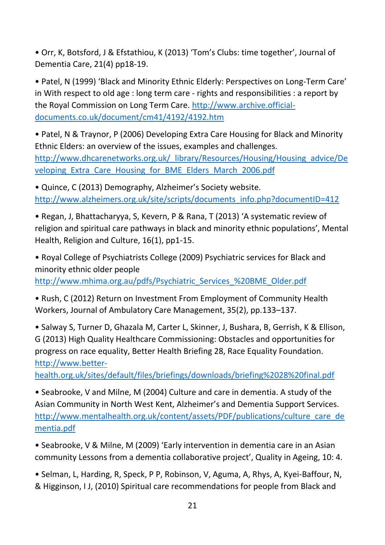• Orr, K, Botsford, J & Efstathiou, K (2013) 'Tom's Clubs: time together', Journal of Dementia Care, 21(4) pp18-19.

• Patel, N (1999) 'Black and Minority Ethnic Elderly: Perspectives on Long-Term Care' in With respect to old age : long term care - rights and responsibilities : a report by the Royal Commission on Long Term Care. [http://www.archive.official](http://www.archive.official-documents.co.uk/document/cm41/4192/4192.htm)[documents.co.uk/document/cm41/4192/4192.htm](http://www.archive.official-documents.co.uk/document/cm41/4192/4192.htm)

• Patel, N & Traynor, P (2006) Developing Extra Care Housing for Black and Minority Ethnic Elders: an overview of the issues, examples and challenges. [http://www.dhcarenetworks.org.uk/\\_library/Resources/Housing/Housing\\_advice/De](http://www.dhcarenetworks.org.uk/_library/Resources/Housing/Housing_advice/Developing_Extra_Care_Housing_for_BME_Elders_March_2006.pdf) veloping Extra Care Housing for BME Elders March 2006.pdf

• Quince, C (2013) Demography, Alzheimer's Society website. [http://www.alzheimers.org.uk/site/scripts/documents\\_info.php?documentID=412](http://www.alzheimers.org.uk/site/scripts/documents_info.php?documentID=412)

• Regan, J, Bhattacharyya, S, Kevern, P & Rana, T (2013) 'A systematic review of religion and spiritual care pathways in black and minority ethnic populations', Mental Health, Religion and Culture, 16(1), pp1-15.

• Royal College of Psychiatrists College (2009) Psychiatric services for Black and minority ethnic older people

[http://www.mhima.org.au/pdfs/Psychiatric\\_Services\\_%20BME\\_Older.pdf](http://www.mhima.org.au/pdfs/Psychiatric_Services_%20BME_Older.pdf)

• Rush, C (2012) Return on Investment From Employment of Community Health Workers, Journal of Ambulatory Care Management, 35(2), pp.133–137.

• Salway S, Turner D, Ghazala M, Carter L, Skinner, J, Bushara, B, Gerrish, K & Ellison, G (2013) High Quality Healthcare Commissioning: Obstacles and opportunities for progress on race equality, Better Health Briefing 28, Race Equality Foundation. [http://www.better-](http://www.better-health.org.uk/sites/default/files/briefings/downloads/briefing%2028%20final.pdf)

[health.org.uk/sites/default/files/briefings/downloads/briefing%2028%20final.pdf](http://www.better-health.org.uk/sites/default/files/briefings/downloads/briefing%2028%20final.pdf)

• Seabrooke, V and Milne, M (2004) Culture and care in dementia. A study of the Asian Community in North West Kent, Alzheimer's and Dementia Support Services. [http://www.mentalhealth.org.uk/content/assets/PDF/publications/culture\\_care\\_de](http://www.mentalhealth.org.uk/content/assets/PDF/publications/culture_care_dementia.pdf) [mentia.pdf](http://www.mentalhealth.org.uk/content/assets/PDF/publications/culture_care_dementia.pdf)

• Seabrooke, V & Milne, M (2009) 'Early intervention in dementia care in an Asian community Lessons from a dementia collaborative project', Quality in Ageing, 10: 4.

• Selman, L, Harding, R, Speck, P P, Robinson, V, Aguma, A, Rhys, A, Kyei-Baffour, N, & Higginson, I J, (2010) Spiritual care recommendations for people from Black and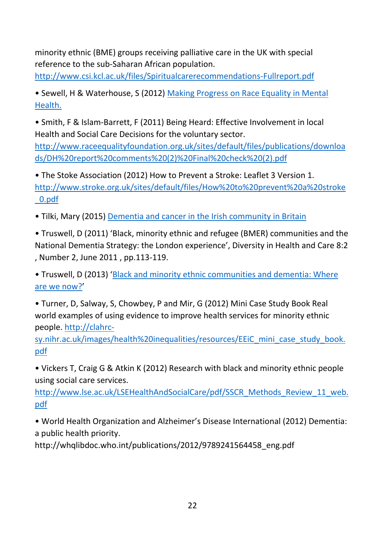minority ethnic (BME) groups receiving palliative care in the UK with special reference to the sub-Saharan African population.

<http://www.csi.kcl.ac.uk/files/Spiritualcarerecommendations-Fullreport.pdf>

• Sewell, H & Waterhouse, S (2012) [Making Progress on Race Equality in Mental](http://www.nhsconfed.org/Publications/Documents/%20Making%20Progress%20on%20Race%20Equality%20in%20Mental%20Health%20FINAL%20SUBMITTED%2014%2005%2012.pdf)  [Health.](http://www.nhsconfed.org/Publications/Documents/%20Making%20Progress%20on%20Race%20Equality%20in%20Mental%20Health%20FINAL%20SUBMITTED%2014%2005%2012.pdf)

• Smith, F & Islam-Barrett, F (2011) Being Heard: Effective Involvement in local Health and Social Care Decisions for the voluntary sector. [http://www.raceequalityfoundation.org.uk/sites/default/files/publications/downloa](http://www.raceequalityfoundation.org.uk/sites/default/files/publications/downloads/DH%20report%20comments%20(2)%20Final%20check%20(2).pdf) [ds/DH%20report%20comments%20\(2\)%20Final%20check%20\(2\).pdf](http://www.raceequalityfoundation.org.uk/sites/default/files/publications/downloads/DH%20report%20comments%20(2)%20Final%20check%20(2).pdf)

• The Stoke Association (2012) How to Prevent a Stroke: Leaflet 3 Version 1. [http://www.stroke.org.uk/sites/default/files/How%20to%20prevent%20a%20stroke](http://www.stroke.org.uk/sites/default/files/How%20to%20prevent%20a%20stroke_0.pdf) [\\_0.pdf](http://www.stroke.org.uk/sites/default/files/How%20to%20prevent%20a%20stroke_0.pdf)

• Tilki, Mary (2015) [Dementia and cancer in the Irish community in Britain](http://raceequalityfoundation.org.uk/health-care/dementia-and-cancer-in-the-irish-community-in-britain/)

• Truswell, D (2011) 'Black, minority ethnic and refugee (BMER) communities and the National Dementia Strategy: the London experience', Diversity in Health and Care 8:2 , Number 2, June 2011 , pp.113-119.

• Truswell, D (2013) '[Black and minority ethnic communities and dementia: Where](http://raceequalityfoundation.org.uk/health-care/black-and-minority-ethnic-communities-and-dementia-where-are-we-now/)  [are we now?](http://raceequalityfoundation.org.uk/health-care/black-and-minority-ethnic-communities-and-dementia-where-are-we-now/)'

• Turner, D, Salway, S, Chowbey, P and Mir, G (2012) Mini Case Study Book Real world examples of using evidence to improve health services for minority ethnic people. [http://clahrc-](http://clahrc-sy.nihr.ac.uk/images/health%20inequalities/resources/EEiC_mini_case_study_book.pdf)

[sy.nihr.ac.uk/images/health%20inequalities/resources/EEiC\\_mini\\_case\\_study\\_book.](http://clahrc-sy.nihr.ac.uk/images/health%20inequalities/resources/EEiC_mini_case_study_book.pdf) [pdf](http://clahrc-sy.nihr.ac.uk/images/health%20inequalities/resources/EEiC_mini_case_study_book.pdf)

• Vickers T, Craig G & Atkin K (2012) Research with black and minority ethnic people using social care services.

[http://www.lse.ac.uk/LSEHealthAndSocialCare/pdf/SSCR\\_Methods\\_Review\\_11\\_web.](http://www.lse.ac.uk/LSEHealthAndSocialCare/pdf/SSCR_Methods_Review_11_web.pdf) [pdf](http://www.lse.ac.uk/LSEHealthAndSocialCare/pdf/SSCR_Methods_Review_11_web.pdf)

• World Health Organization and Alzheimer's Disease International (2012) Dementia: a public health priority.

http://whqlibdoc.who.int/publications/2012/9789241564458\_eng.pdf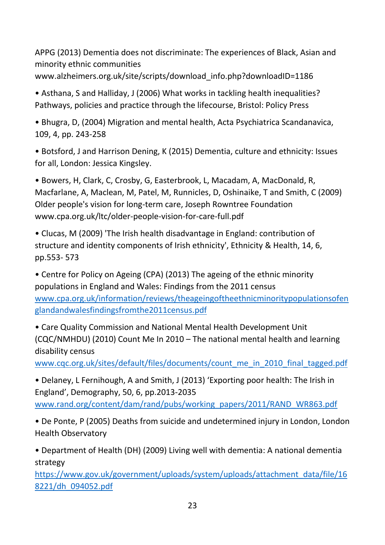APPG (2013) Dementia does not discriminate: The experiences of Black, Asian and minority ethnic communities

www.alzheimers.org.uk/site/scripts/download\_info.php?downloadID=1186

• Asthana, S and Halliday, J (2006) What works in tackling health inequalities? Pathways, policies and practice through the lifecourse, Bristol: Policy Press

• Bhugra, D, (2004) Migration and mental health, Acta Psychiatrica Scandanavica, 109, 4, pp. 243-258

• Botsford, J and Harrison Dening, K (2015) Dementia, culture and ethnicity: Issues for all, London: Jessica Kingsley.

• Bowers, H, Clark, C, Crosby, G, Easterbrook, L, Macadam, A, MacDonald, R, Macfarlane, A, Maclean, M, Patel, M, Runnicles, D, Oshinaike, T and Smith, C (2009) Older people's vision for long‐term care, Joseph Rowntree Foundation www.cpa.org.uk/ltc/older-people-vision-for-care-full.pdf

• Clucas, M (2009) 'The Irish health disadvantage in England: contribution of structure and identity components of Irish ethnicity', Ethnicity & Health, 14, 6, pp.553- 573

• Centre for Policy on Ageing (CPA) (2013) The ageing of the ethnic minority populations in England and Wales: Findings from the 2011 census [www.cpa.org.uk/information/reviews/theageingoftheethnicminoritypopulationsofen](http://www.cpa.org.uk/information/reviews/theageingoftheethnicminoritypopulationsofenglandandwalesfindingsfromthe2011census.pdf) [glandandwalesfindingsfromthe2011census.pdf](http://www.cpa.org.uk/information/reviews/theageingoftheethnicminoritypopulationsofenglandandwalesfindingsfromthe2011census.pdf)

• Care Quality Commission and National Mental Health Development Unit (CQC/NMHDU) (2010) Count Me In 2010 – The national mental health and learning disability census

[www.cqc.org.uk/sites/default/files/documents/count\\_me\\_in\\_2010\\_final\\_tagged.pdf](http://www.cqc.org.uk/sites/default/files/documents/count_me_in_2010_final_tagged.pdf)

• Delaney, L Fernihough, A and Smith, J (2013) 'Exporting poor health: The Irish in England', Demography, 50, 6, pp.2013-2035 [www.rand.org/content/dam/rand/pubs/working\\_papers/2011/RAND\\_WR863.pdf](http://www.rand.org/content/dam/rand/pubs/working_papers/2011/RAND_WR863.pdf)

• De Ponte, P (2005) Deaths from suicide and undetermined injury in London, London Health Observatory

• Department of Health (DH) (2009) Living well with dementia: A national dementia strategy

[https://www.gov.uk/government/uploads/system/uploads/attachment\\_data/file/16](https://www.gov.uk/government/uploads/system/uploads/attachment_data/file/168221/dh_094052.pdf) [8221/dh\\_094052.pdf](https://www.gov.uk/government/uploads/system/uploads/attachment_data/file/168221/dh_094052.pdf)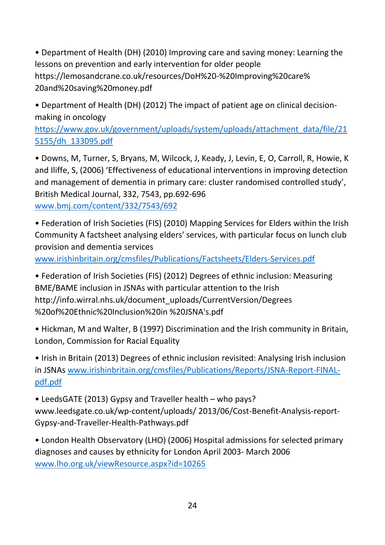• Department of Health (DH) (2010) Improving care and saving money: Learning the lessons on prevention and early intervention for older people https://lemosandcrane.co.uk/resources/DoH%20-%20Improving%20care% 20and%20saving%20money.pdf

• Department of Health (DH) (2012) The impact of patient age on clinical decisionmaking in oncology

[https://www.gov.uk/government/uploads/system/uploads/attachment\\_data/file/21](https://www.gov.uk/government/uploads/system/uploads/attachment_data/file/215155/dh_133095.pdf) [5155/dh\\_133095.pdf](https://www.gov.uk/government/uploads/system/uploads/attachment_data/file/215155/dh_133095.pdf)

• Downs, M, Turner, S, Bryans, M, Wilcock, J, Keady, J, Levin, E, O, Carroll, R, Howie, K and Iliffe, S, (2006) 'Effectiveness of educational interventions in improving detection and management of dementia in primary care: cluster randomised controlled study', British Medical Journal, 332, 7543, pp.692-696 [www.bmj.com/content/332/7543/692](http://www.bmj.com/content/332/7543/692)

• Federation of Irish Societies (FIS) (2010) Mapping Services for Elders within the Irish Community A factsheet analysing elders' services, with particular focus on lunch club provision and dementia services

[www.irishinbritain.org/cmsfiles/Publications/Factsheets/Elders-Services.pdf](http://www.irishinbritain.org/cmsfiles/Publications/Factsheets/Elders-Services.pdf)

• Federation of Irish Societies (FIS) (2012) Degrees of ethnic inclusion: Measuring BME/BAME inclusion in JSNAs with particular attention to the Irish http://info.wirral.nhs.uk/document\_uploads/CurrentVersion/Degrees %20of%20Ethnic%20Inclusion%20in %20JSNA's.pdf

• Hickman, M and Walter, B (1997) Discrimination and the Irish community in Britain, London, Commission for Racial Equality

• Irish in Britain (2013) Degrees of ethnic inclusion revisited: Analysing Irish inclusion in JSNAs [www.irishinbritain.org/cmsfiles/Publications/Reports/JSNA-Report-FINAL](http://www.irishinbritain.org/cmsfiles/Publications/Reports/JSNA-Report-FINAL-pdf.pdf)[pdf.pdf](http://www.irishinbritain.org/cmsfiles/Publications/Reports/JSNA-Report-FINAL-pdf.pdf)

• LeedsGATE (2013) Gypsy and Traveller health – who pays? www.leedsgate.co.uk/wp-content/uploads/ 2013/06/Cost-Benefit-Analysis-report-Gypsy-and-Traveller-Health-Pathways.pdf

• London Health Observatory (LHO) (2006) Hospital admissions for selected primary diagnoses and causes by ethnicity for London April 2003- March 2006 [www.lho.org.uk/viewResource.aspx?id=10265](http://www.lho.org.uk/viewResource.aspx?id=10265)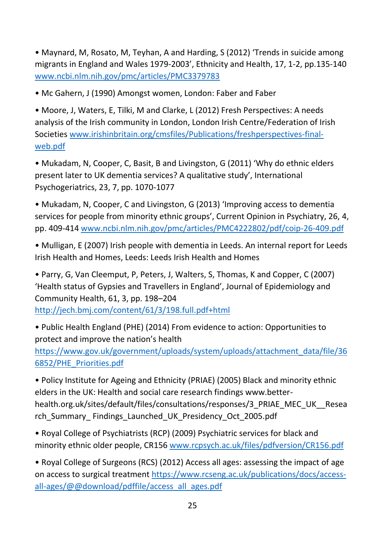• Maynard, M, Rosato, M, Teyhan, A and Harding, S (2012) 'Trends in suicide among migrants in England and Wales 1979-2003', Ethnicity and Health, 17, 1-2, pp.135-140 [www.ncbi.nlm.nih.gov/pmc/articles/PMC3379783](http://www.ncbi.nlm.nih.gov/pmc/articles/PMC3379783)

• Mc Gahern, J (1990) Amongst women, London: Faber and Faber

• Moore, J, Waters, E, Tilki, M and Clarke, L (2012) Fresh Perspectives: A needs analysis of the Irish community in London, London Irish Centre/Federation of Irish Societies [www.irishinbritain.org/cmsfiles/Publications/freshperspectives-final](http://www.irishinbritain.org/cmsfiles/Publications/freshperspectives-final-web.pdf)[web.pdf](http://www.irishinbritain.org/cmsfiles/Publications/freshperspectives-final-web.pdf)

• Mukadam, N, Cooper, C, Basit, B and Livingston, G (2011) 'Why do ethnic elders present later to UK dementia services? A qualitative study', International Psychogeriatrics, 23, 7, pp. 1070-1077

• Mukadam, N, Cooper, C and Livingston, G (2013) 'Improving access to dementia services for people from minority ethnic groups', Current Opinion in Psychiatry, 26, 4, pp. 409-414 [www.ncbi.nlm.nih.gov/pmc/articles/PMC4222802/pdf/coip-26-409.pdf](http://www.ncbi.nlm.nih.gov/pmc/articles/PMC4222802/pdf/coip-26-409.pdf)

• Mulligan, E (2007) Irish people with dementia in Leeds. An internal report for Leeds Irish Health and Homes, Leeds: Leeds Irish Health and Homes

• Parry, G, Van Cleemput, P, Peters, J, Walters, S, Thomas, K and Copper, C (2007) 'Health status of Gypsies and Travellers in England', Journal of Epidemiology and Community Health, 61, 3, pp. 198–204 <http://jech.bmj.com/content/61/3/198.full.pdf+html>

• Public Health England (PHE) (2014) From evidence to action: Opportunities to protect and improve the nation's health

[https://www.gov.uk/government/uploads/system/uploads/attachment\\_data/file/36](https://www.gov.uk/government/uploads/system/uploads/attachment_data/file/366852/PHE_Priorities.pdf) [6852/PHE\\_Priorities.pdf](https://www.gov.uk/government/uploads/system/uploads/attachment_data/file/366852/PHE_Priorities.pdf)

• Policy Institute for Ageing and Ethnicity (PRIAE) (2005) Black and minority ethnic elders in the UK: Health and social care research findings www.betterhealth.org.uk/sites/default/files/consultations/responses/3\_PRIAE\_MEC\_UK\_\_Resea rch\_Summary\_ Findings\_Launched\_UK\_Presidency\_Oct\_2005.pdf

• Royal College of Psychiatrists (RCP) (2009) Psychiatric services for black and minority ethnic older people, CR156 [www.rcpsych.ac.uk/files/pdfversion/CR156.pdf](http://www.rcpsych.ac.uk/files/pdfversion/CR156.pdf)

• Royal College of Surgeons (RCS) (2012) Access all ages: assessing the impact of age on access to surgical treatment [https://www.rcseng.ac.uk/publications/docs/access](https://www.rcseng.ac.uk/publications/docs/access-all-ages/@@download/pdffile/access_all_ages.pdf)[all-ages/@@download/pdffile/access\\_all\\_ages.pdf](https://www.rcseng.ac.uk/publications/docs/access-all-ages/@@download/pdffile/access_all_ages.pdf)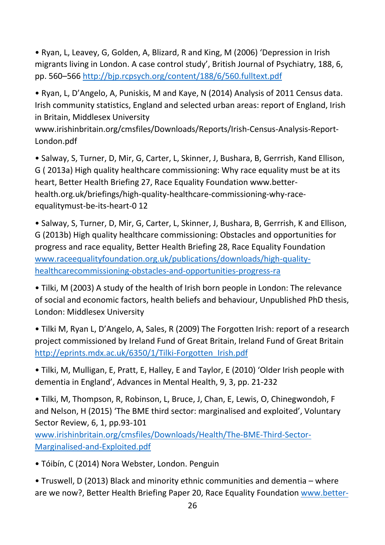• Ryan, L, Leavey, G, Golden, A, Blizard, R and King, M (2006) 'Depression in Irish migrants living in London. A case control study', British Journal of Psychiatry, 188, 6, pp. 560–566<http://bjp.rcpsych.org/content/188/6/560.fulltext.pdf>

• Ryan, L, D'Angelo, A, Puniskis, M and Kaye, N (2014) Analysis of 2011 Census data. Irish community statistics, England and selected urban areas: report of England, Irish in Britain, Middlesex University

www.irishinbritain.org/cmsfiles/Downloads/Reports/Irish-Census-Analysis-Report-London.pdf

• Salway, S, Turner, D, Mir, G, Carter, L, Skinner, J, Bushara, B, Gerrrish, Kand Ellison, G ( 2013a) High quality healthcare commissioning: Why race equality must be at its heart, Better Health Briefing 27, Race Equality Foundation www.betterhealth.org.uk/briefings/high-quality-healthcare-commissioning-why-raceequalitymust-be-its-heart-0 12

• Salway, S, Turner, D, Mir, G, Carter, L, Skinner, J, Bushara, B, Gerrrish, K and Ellison, G (2013b) High quality healthcare commissioning: Obstacles and opportunities for progress and race equality, Better Health Briefing 28, Race Equality Foundation [www.raceequalityfoundation.org.uk/publications/downloads/high-quality](http://www.raceequalityfoundation.org.uk/publications/downloads/high-quality-healthcarecommissioning-obstacles-and-opportunities-progress-ra)[healthcarecommissioning-obstacles-and-opportunities-progress-ra](http://www.raceequalityfoundation.org.uk/publications/downloads/high-quality-healthcarecommissioning-obstacles-and-opportunities-progress-ra)

• Tilki, M (2003) A study of the health of Irish born people in London: The relevance of social and economic factors, health beliefs and behaviour, Unpublished PhD thesis, London: Middlesex University

• Tilki M, Ryan L, D'Angelo, A, Sales, R (2009) The Forgotten Irish: report of a research project commissioned by Ireland Fund of Great Britain, Ireland Fund of Great Britain [http://eprints.mdx.ac.uk/6350/1/Tilki-Forgotten\\_Irish.pdf](http://eprints.mdx.ac.uk/6350/1/Tilki-Forgotten_Irish.pdf)

• Tilki, M, Mulligan, E, Pratt, E, Halley, E and Taylor, E (2010) 'Older Irish people with dementia in England', Advances in Mental Health, 9, 3, pp. 21-232

• Tilki, M, Thompson, R, Robinson, L, Bruce, J, Chan, E, Lewis, O, Chinegwondoh, F and Nelson, H (2015) 'The BME third sector: marginalised and exploited', Voluntary Sector Review, 6, 1, pp.93-101

[www.irishinbritain.org/cmsfiles/Downloads/Health/The-BME-Third-Sector-](http://www.irishinbritain.org/cmsfiles/Downloads/Health/The-BME-Third-Sector-Marginalised-and-Exploited.pdf)[Marginalised-and-Exploited.pdf](http://www.irishinbritain.org/cmsfiles/Downloads/Health/The-BME-Third-Sector-Marginalised-and-Exploited.pdf)

• Tóibín, C (2014) Nora Webster, London. Penguin

• Truswell, D (2013) Black and minority ethnic communities and dementia – where are we now?, Better Health Briefing Paper 20, Race Equality Foundation [www.better-](http://www.better-health.org.uk/briefings/black-and-minority-ethnic-communities-anddementia-where-are-we-now)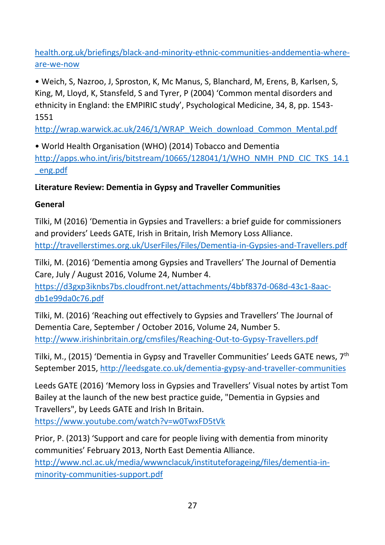[health.org.uk/briefings/black-and-minority-ethnic-communities-anddementia-where](http://www.better-health.org.uk/briefings/black-and-minority-ethnic-communities-anddementia-where-are-we-now)[are-we-now](http://www.better-health.org.uk/briefings/black-and-minority-ethnic-communities-anddementia-where-are-we-now)

• Weich, S, Nazroo, J, Sproston, K, Mc Manus, S, Blanchard, M, Erens, B, Karlsen, S, King, M, Lloyd, K, Stansfeld, S and Tyrer, P (2004) 'Common mental disorders and ethnicity in England: the EMPIRIC study', Psychological Medicine, 34, 8, pp. 1543- 1551

[http://wrap.warwick.ac.uk/246/1/WRAP\\_Weich\\_download\\_Common\\_Mental.pdf](http://wrap.warwick.ac.uk/246/1/WRAP_Weich_download_Common_Mental.pdf)

• World Health Organisation (WHO) (2014) Tobacco and Dementia [http://apps.who.int/iris/bitstream/10665/128041/1/WHO\\_NMH\\_PND\\_CIC\\_TKS\\_14.1](http://apps.who.int/iris/bitstream/10665/128041/1/WHO_NMH_PND_CIC_TKS_14.1_eng.pdf) [\\_eng.pdf](http://apps.who.int/iris/bitstream/10665/128041/1/WHO_NMH_PND_CIC_TKS_14.1_eng.pdf)

## **Literature Review: Dementia in Gypsy and Traveller Communities**

## **General**

Tilki, M (2016) 'Dementia in Gypsies and Travellers: a brief guide for commissioners and providers' Leeds GATE, Irish in Britain, Irish Memory Loss Alliance. <http://travellerstimes.org.uk/UserFiles/Files/Dementia-in-Gypsies-and-Travellers.pdf>

Tilki, M. (2016) 'Dementia among Gypsies and Travellers' The Journal of Dementia Care, July / August 2016, Volume 24, Number 4.

[https://d3gxp3iknbs7bs.cloudfront.net/attachments/4bbf837d-068d-43c1-8aac](https://d3gxp3iknbs7bs.cloudfront.net/attachments/4bbf837d-068d-43c1-8aac-db1e99da0c76.pdf)[db1e99da0c76.pdf](https://d3gxp3iknbs7bs.cloudfront.net/attachments/4bbf837d-068d-43c1-8aac-db1e99da0c76.pdf)

Tilki, M. (2016) 'Reaching out effectively to Gypsies and Travellers' The Journal of Dementia Care, September / October 2016, Volume 24, Number 5. <http://www.irishinbritain.org/cmsfiles/Reaching-Out-to-Gypsy-Travellers.pdf>

Tilki, M., (2015) 'Dementia in Gypsy and Traveller Communities' Leeds GATE news, 7th September 2015,<http://leedsgate.co.uk/dementia-gypsy-and-traveller-communities>

Leeds GATE (2016) 'Memory loss in Gypsies and Travellers' Visual notes by artist Tom Bailey at the launch of the new best practice guide, "Dementia in Gypsies and Travellers", by Leeds GATE and Irish In Britain.

<https://www.youtube.com/watch?v=w0TwxFD5tVk>

Prior, P. (2013) 'Support and care for people living with dementia from minority communities' February 2013, North East Dementia Alliance.

[http://www.ncl.ac.uk/media/wwwnclacuk/instituteforageing/files/dementia-in](http://www.ncl.ac.uk/media/wwwnclacuk/instituteforageing/files/dementia-in-minority-communities-support.pdf)[minority-communities-support.pdf](http://www.ncl.ac.uk/media/wwwnclacuk/instituteforageing/files/dementia-in-minority-communities-support.pdf)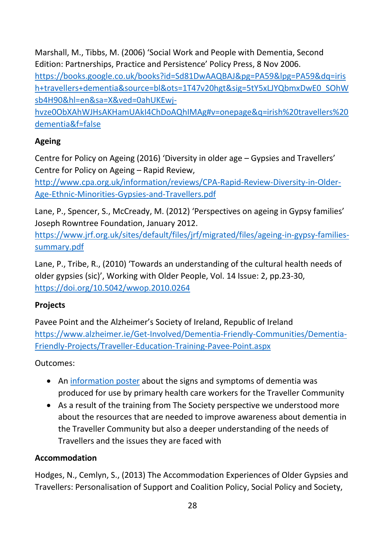Marshall, M., Tibbs, M. (2006) 'Social Work and People with Dementia, Second Edition: Partnerships, Practice and Persistence' Policy Press, 8 Nov 2006.

[https://books.google.co.uk/books?id=Sd81DwAAQBAJ&pg=PA59&lpg=PA59&dq=iris](https://books.google.co.uk/books?id=Sd81DwAAQBAJ&pg=PA59&lpg=PA59&dq=irish+travellers+dementia&source=bl&ots=1T47v20hgt&sig=5tY5xLJYQbmxDwE0_SOhWsb4H90&hl=en&sa=X&ved=0ahUKEwj-hvze0ObXAhWJHsAKHamUAkI4ChDoAQhIMAg#v=onepage&q=irish%20travellers%20dementia&f=false) [h+travellers+dementia&source=bl&ots=1T47v20hgt&sig=5tY5xLJYQbmxDwE0\\_SOhW](https://books.google.co.uk/books?id=Sd81DwAAQBAJ&pg=PA59&lpg=PA59&dq=irish+travellers+dementia&source=bl&ots=1T47v20hgt&sig=5tY5xLJYQbmxDwE0_SOhWsb4H90&hl=en&sa=X&ved=0ahUKEwj-hvze0ObXAhWJHsAKHamUAkI4ChDoAQhIMAg#v=onepage&q=irish%20travellers%20dementia&f=false) [sb4H90&hl=en&sa=X&ved=0ahUKEwj-](https://books.google.co.uk/books?id=Sd81DwAAQBAJ&pg=PA59&lpg=PA59&dq=irish+travellers+dementia&source=bl&ots=1T47v20hgt&sig=5tY5xLJYQbmxDwE0_SOhWsb4H90&hl=en&sa=X&ved=0ahUKEwj-hvze0ObXAhWJHsAKHamUAkI4ChDoAQhIMAg#v=onepage&q=irish%20travellers%20dementia&f=false)

[hvze0ObXAhWJHsAKHamUAkI4ChDoAQhIMAg#v=onepage&q=irish%20travellers%20](https://books.google.co.uk/books?id=Sd81DwAAQBAJ&pg=PA59&lpg=PA59&dq=irish+travellers+dementia&source=bl&ots=1T47v20hgt&sig=5tY5xLJYQbmxDwE0_SOhWsb4H90&hl=en&sa=X&ved=0ahUKEwj-hvze0ObXAhWJHsAKHamUAkI4ChDoAQhIMAg#v=onepage&q=irish%20travellers%20dementia&f=false) [dementia&f=false](https://books.google.co.uk/books?id=Sd81DwAAQBAJ&pg=PA59&lpg=PA59&dq=irish+travellers+dementia&source=bl&ots=1T47v20hgt&sig=5tY5xLJYQbmxDwE0_SOhWsb4H90&hl=en&sa=X&ved=0ahUKEwj-hvze0ObXAhWJHsAKHamUAkI4ChDoAQhIMAg#v=onepage&q=irish%20travellers%20dementia&f=false)

## **Ageing**

Centre for Policy on Ageing (2016) 'Diversity in older age – Gypsies and Travellers' Centre for Policy on Ageing – Rapid Review,

[http://www.cpa.org.uk/information/reviews/CPA-Rapid-Review-Diversity-in-Older-](http://www.cpa.org.uk/information/reviews/CPA-Rapid-Review-Diversity-in-Older-Age-Ethnic-Minorities-Gypsies-and-Travellers.pdf)[Age-Ethnic-Minorities-Gypsies-and-Travellers.pdf](http://www.cpa.org.uk/information/reviews/CPA-Rapid-Review-Diversity-in-Older-Age-Ethnic-Minorities-Gypsies-and-Travellers.pdf)

Lane, P., Spencer, S., McCready, M. (2012) 'Perspectives on ageing in Gypsy families' Joseph Rowntree Foundation, January 2012.

[https://www.jrf.org.uk/sites/default/files/jrf/migrated/files/ageing-in-gypsy-families](https://www.jrf.org.uk/sites/default/files/jrf/migrated/files/ageing-in-gypsy-families-summary.pdf)[summary.pdf](https://www.jrf.org.uk/sites/default/files/jrf/migrated/files/ageing-in-gypsy-families-summary.pdf)

Lane, P., Tribe, R., (2010) 'Towards an understanding of the cultural health needs of older gypsies (sic)', Working with Older People, Vol. 14 Issue: 2, pp.23-30, <https://doi.org/10.5042/wwop.2010.0264>

## **Projects**

Pavee Point and the Alzheimer's Society of Ireland, Republic of Ireland [https://www.alzheimer.ie/Get-Involved/Dementia-Friendly-Communities/Dementia-](https://www.alzheimer.ie/Get-Involved/Dementia-Friendly-Communities/Dementia-Friendly-Projects/Traveller-Education-Training-Pavee-Point.aspx)[Friendly-Projects/Traveller-Education-Training-Pavee-Point.aspx](https://www.alzheimer.ie/Get-Involved/Dementia-Friendly-Communities/Dementia-Friendly-Projects/Traveller-Education-Training-Pavee-Point.aspx)

Outcomes:

- An [information poster](http://www.paveepoint.ie/document/traveller-specific-alzheimers-poster/) about the signs and symptoms of dementia was produced for use by primary health care workers for the Traveller Community
- As a result of the training from The Society perspective we understood more about the resources that are needed to improve awareness about dementia in the Traveller Community but also a deeper understanding of the needs of Travellers and the issues they are faced with

## **Accommodation**

Hodges, N., Cemlyn, S., (2013) The Accommodation Experiences of Older Gypsies and Travellers: Personalisation of Support and Coalition Policy, Social Policy and Society,